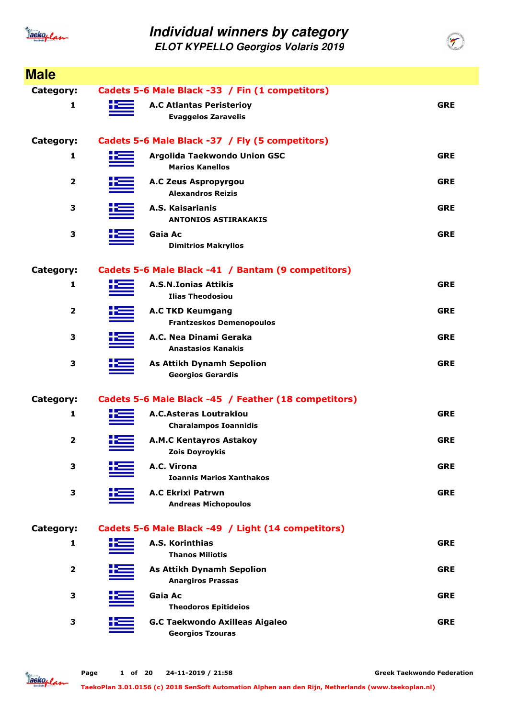

**ELOT KYPELLO Georgios Volaris 2019**

| <b>Male</b>             |                                                               |            |
|-------------------------|---------------------------------------------------------------|------------|
| Category:               | Cadets 5-6 Male Black -33 / Fin (1 competitors)               |            |
| 1                       | <b>A.C Atlantas Peristerioy</b><br><b>Evaggelos Zaravelis</b> | <b>GRE</b> |
| Category:               | Cadets 5-6 Male Black -37 / Fly (5 competitors)               |            |
| 1                       | Argolida Taekwondo Union GSC<br><b>Marios Kanellos</b>        | <b>GRE</b> |
| $\mathbf{2}$            | <b>A.C Zeus Aspropyrgou</b><br><b>Alexandros Reizis</b>       | <b>GRE</b> |
| 3                       | A.S. Kaisarianis<br><b>ANTONIOS ASTIRAKAKIS</b>               | <b>GRE</b> |
| 3                       | Gaia Ac<br><b>Dimitrios Makryllos</b>                         | <b>GRE</b> |
| Category:               | Cadets 5-6 Male Black -41 / Bantam (9 competitors)            |            |
| 1                       | <b>A.S.N.Ionias Attikis</b><br><b>Ilias Theodosiou</b>        | <b>GRE</b> |
| $\mathbf{2}$            | <b>A.C TKD Keumgang</b><br><b>Frantzeskos Demenopoulos</b>    | <b>GRE</b> |
| 3                       | A.C. Nea Dinami Geraka<br><b>Anastasios Kanakis</b>           | <b>GRE</b> |
| 3                       | <b>As Attikh Dynamh Sepolion</b><br><b>Georgios Gerardis</b>  | <b>GRE</b> |
| Category:               | Cadets 5-6 Male Black -45 / Feather (18 competitors)          |            |
| 1                       | <b>A.C.Asteras Loutrakiou</b><br><b>Charalampos Ioannidis</b> | <b>GRE</b> |
| $\mathbf{2}$            | <b>A.M.C Kentayros Astakoy</b><br><b>Zois Doyroykis</b>       | <b>GRE</b> |
| 3                       | A.C. Virona<br><b>Ioannis Marios Xanthakos</b>                | <b>GRE</b> |
| 3                       | <b>A.C Ekrixi Patrwn</b><br><b>Andreas Michopoulos</b>        | <b>GRE</b> |
| Category:               | Cadets 5-6 Male Black -49 / Light (14 competitors)            |            |
| 1                       | A.S. Korinthias<br><b>Thanos Miliotis</b>                     | <b>GRE</b> |
| $\overline{\mathbf{2}}$ | <b>As Attikh Dynamh Sepolion</b><br><b>Anargiros Prassas</b>  | <b>GRE</b> |
| 3                       | Gaia Ac<br><b>Theodoros Epitideios</b>                        | <b>GRE</b> |
| 3                       | <b>G.C Taekwondo Axilleas Aigaleo</b>                         | <b>GRE</b> |

**Georgios Tzouras**

Jackoplan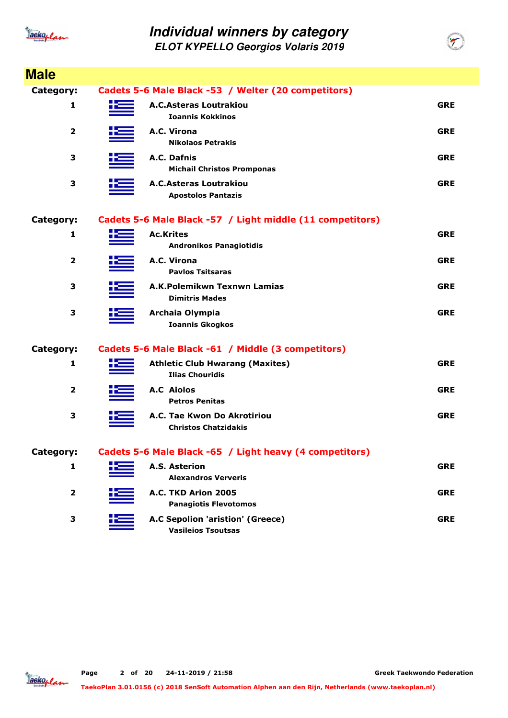

**ELOT KYPELLO Georgios Volaris 2019**

| <b>Male</b>             |                                                                  |            |
|-------------------------|------------------------------------------------------------------|------------|
| Category:               | Cadets 5-6 Male Black -53 / Welter (20 competitors)              |            |
| 1                       | <b>A.C.Asteras Loutrakiou</b><br><b>Ioannis Kokkinos</b>         | <b>GRE</b> |
| $\mathbf{2}$            | A.C. Virona<br><b>Nikolaos Petrakis</b>                          | <b>GRE</b> |
| 3                       | A.C. Dafnis<br><b>Michail Christos Promponas</b>                 | <b>GRE</b> |
| 3                       | <b>A.C.Asteras Loutrakiou</b><br><b>Apostolos Pantazis</b>       | <b>GRE</b> |
| Category:               | Cadets 5-6 Male Black -57 / Light middle (11 competitors)        |            |
| 1                       | <b>Ac.Krites</b><br><b>Andronikos Panagiotidis</b>               | <b>GRE</b> |
| $\overline{\mathbf{2}}$ | A.C. Virona<br><b>Pavlos Tsitsaras</b>                           | <b>GRE</b> |
| 3                       | A.K.Polemikwn Texnwn Lamias<br><b>Dimitris Mades</b>             | <b>GRE</b> |
| 3                       | Archaia Olympia<br><b>Ioannis Gkogkos</b>                        | <b>GRE</b> |
| Category:               | Cadets 5-6 Male Black -61 / Middle (3 competitors)               |            |
| 1                       | <b>Athletic Club Hwarang (Maxites)</b><br><b>Ilias Chouridis</b> | <b>GRE</b> |
| $\overline{2}$          | <b>A.C</b> Aiolos<br><b>Petros Penitas</b>                       | <b>GRE</b> |
| 3                       | A.C. Tae Kwon Do Akrotiriou<br><b>Christos Chatzidakis</b>       | <b>GRE</b> |
| Category:               | Cadets 5-6 Male Black -65 / Light heavy (4 competitors)          |            |
| 1                       | <b>A.S. Asterion</b><br><b>Alexandros Ververis</b>               | <b>GRE</b> |
| 2                       | A.C. TKD Arion 2005<br><b>Panagiotis Flevotomos</b>              | <b>GRE</b> |
| 3                       | A.C Sepolion 'aristion' (Greece)<br><b>Vasileios Tsoutsas</b>    | <b>GRE</b> |

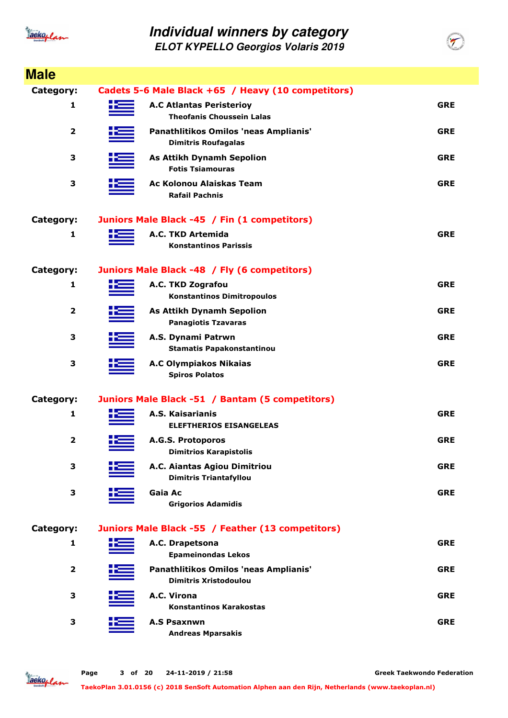

**ELOT KYPELLO Georgios Volaris 2019**

|                         |    | <b>ELOT KYPELLO Georgios Volaris 2019</b>                             |            |
|-------------------------|----|-----------------------------------------------------------------------|------------|
| <b>Male</b>             |    |                                                                       |            |
| Category:               |    | Cadets 5-6 Male Black +65 / Heavy (10 competitors)                    |            |
| 1                       | tЕ | <b>A.C Atlantas Peristerioy</b><br><b>Theofanis Choussein Lalas</b>   | <b>GRE</b> |
| $\overline{2}$          |    | Panathlitikos Omilos 'neas Amplianis'<br><b>Dimitris Roufagalas</b>   | <b>GRE</b> |
| 3                       |    | <b>As Attikh Dynamh Sepolion</b><br><b>Fotis Tsiamouras</b>           | <b>GRE</b> |
| 3                       |    | Ac Kolonou Alaiskas Team<br><b>Rafail Pachnis</b>                     | <b>GRE</b> |
| Category:               |    | Juniors Male Black -45 / Fin (1 competitors)                          |            |
| 1                       |    | A.C. TKD Artemida<br><b>Konstantinos Parissis</b>                     | <b>GRE</b> |
| Category:               |    | Juniors Male Black -48 / Fly (6 competitors)                          |            |
| 1                       |    | A.C. TKD Zografou<br><b>Konstantinos Dimitropoulos</b>                | <b>GRE</b> |
| 2                       |    | <b>As Attikh Dynamh Sepolion</b><br><b>Panagiotis Tzavaras</b>        | <b>GRE</b> |
| 3                       |    | A.S. Dynami Patrwn<br><b>Stamatis Papakonstantinou</b>                | <b>GRE</b> |
| 3                       |    | <b>A.C Olympiakos Nikaias</b><br><b>Spiros Polatos</b>                | <b>GRE</b> |
| Category:               |    | Juniors Male Black -51 / Bantam (5 competitors)                       |            |
| 1                       |    | A.S. Kaisarianis<br><b>ELEFTHERIOS EISANGELEAS</b>                    | <b>GRE</b> |
| $\overline{\mathbf{2}}$ |    | A.G.S. Protoporos<br><b>Dimitrios Karapistolis</b>                    | <b>GRE</b> |
| 3                       |    | A.C. Aiantas Agiou Dimitriou<br><b>Dimitris Triantafyllou</b>         | <b>GRE</b> |
| 3                       |    | Gaia Ac<br><b>Grigorios Adamidis</b>                                  | <b>GRE</b> |
| Category:               |    | Juniors Male Black -55 / Feather (13 competitors)                     |            |
| 1                       |    | A.C. Drapetsona<br><b>Epameinondas Lekos</b>                          | <b>GRE</b> |
| $\mathbf{2}$            |    | Panathlitikos Omilos 'neas Amplianis'<br><b>Dimitris Xristodoulou</b> | <b>GRE</b> |
| 3                       |    | A.C. Virona<br><b>Konstantinos Karakostas</b>                         | <b>GRE</b> |
| 3                       |    | <b>A.S Psaxnwn</b><br><b>Andreas Mparsakis</b>                        | <b>GRE</b> |

Jackoplan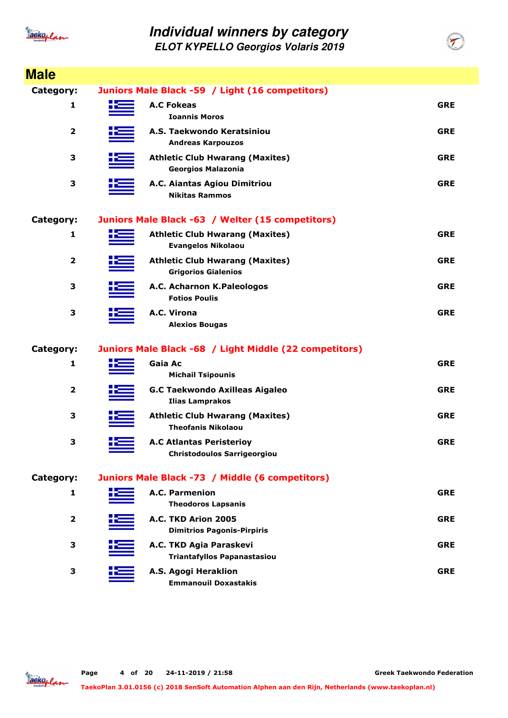

| <b>Male</b>             |                                                                       |            |
|-------------------------|-----------------------------------------------------------------------|------------|
| Category:               | Juniors Male Black -59 / Light (16 competitors)                       |            |
| 1                       | <b>A.C Fokeas</b><br><b>Ioannis Moros</b>                             | <b>GRE</b> |
| $\overline{\mathbf{2}}$ | A.S. Taekwondo Keratsiniou<br><b>Andreas Karpouzos</b>                | <b>GRE</b> |
| 3                       | <b>Athletic Club Hwarang (Maxites)</b><br><b>Georgios Malazonia</b>   | <b>GRE</b> |
| 3                       | A.C. Aiantas Agiou Dimitriou<br><b>Nikitas Rammos</b>                 | <b>GRE</b> |
| Category:               | Juniors Male Black -63 / Welter (15 competitors)                      |            |
| 1                       | <b>Athletic Club Hwarang (Maxites)</b><br><b>Evangelos Nikolaou</b>   | <b>GRE</b> |
| $\overline{2}$          | <b>Athletic Club Hwarang (Maxites)</b><br><b>Grigorios Gialenios</b>  | <b>GRE</b> |
| 3                       | A.C. Acharnon K.Paleologos<br><b>Fotios Poulis</b>                    | <b>GRE</b> |
| З                       | A.C. Virona<br><b>Alexios Bougas</b>                                  | <b>GRE</b> |
| Category:               | Juniors Male Black -68 / Light Middle (22 competitors)                |            |
| 1                       | Gaia Ac<br><b>Michail Tsipounis</b>                                   | <b>GRE</b> |
| 2                       | <b>G.C Taekwondo Axilleas Aigaleo</b><br><b>Ilias Lamprakos</b>       | <b>GRE</b> |
| З                       | <b>Athletic Club Hwarang (Maxites)</b><br><b>Theofanis Nikolaou</b>   | <b>GRE</b> |
| 3                       | <b>A.C Atlantas Peristerioy</b><br><b>Christodoulos Sarrigeorgiou</b> | <b>GRE</b> |
| Category:               | Juniors Male Black -73 / Middle (6 competitors)                       |            |
| 1                       | A.C. Parmenion<br><b>Theodoros Lapsanis</b>                           | <b>GRE</b> |
| $\overline{2}$          | A.C. TKD Arion 2005<br><b>Dimitrios Pagonis-Pirpiris</b>              | <b>GRE</b> |
| З                       | A.C. TKD Agia Paraskevi<br><b>Triantafyllos Papanastasiou</b>         | <b>GRE</b> |
| 3                       | A.S. Agogi Heraklion<br><b>Emmanouil Doxastakis</b>                   | <b>GRE</b> |

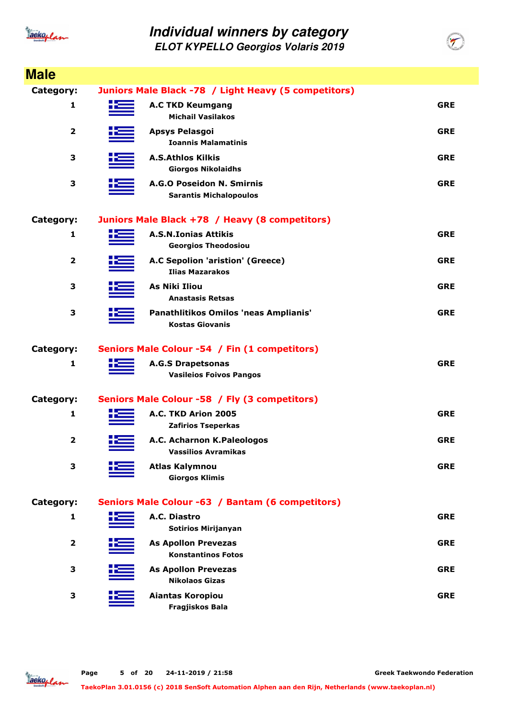

**Male**

#### **Individual winners by category ELOT KYPELLO Georgios Volaris 2019**

**Category: Juniors Male Black -78 / Light Heavy (5 competitors)**

| calegoi y .             | Juliols Maic Diack -70 / Light Heavy (3 competitors)            |            |
|-------------------------|-----------------------------------------------------------------|------------|
| 1                       | <b>A.C TKD Keumgang</b><br><b>Michail Vasilakos</b>             | <b>GRE</b> |
| $\overline{\mathbf{2}}$ | <b>Apsys Pelasgoi</b><br><b>Ioannis Malamatinis</b>             | <b>GRE</b> |
| 3                       | <b>A.S.Athlos Kilkis</b><br><b>Giorgos Nikolaidhs</b>           | <b>GRE</b> |
| 3                       | A.G.O Poseidon N. Smirnis<br><b>Sarantis Michalopoulos</b>      | <b>GRE</b> |
| Category:               | Juniors Male Black +78 / Heavy (8 competitors)                  |            |
| 1                       | <b>A.S.N.Ionias Attikis</b><br><b>Georgios Theodosiou</b>       | <b>GRE</b> |
| $\overline{\mathbf{2}}$ | A.C Sepolion 'aristion' (Greece)<br><b>Ilias Mazarakos</b>      | <b>GRE</b> |
| 3                       | <b>As Niki Iliou</b><br><b>Anastasis Retsas</b>                 | <b>GRE</b> |
| 3                       | Panathlitikos Omilos 'neas Amplianis'<br><b>Kostas Giovanis</b> | <b>GRE</b> |
| Category:               | Seniors Male Colour -54 / Fin (1 competitors)                   |            |
| 1                       | <b>A.G.S Drapetsonas</b><br><b>Vasileios Foivos Pangos</b>      | <b>GRE</b> |
| Category:               | Seniors Male Colour -58 / Fly (3 competitors)                   |            |
| 1                       | A.C. TKD Arion 2005<br><b>Zafirios Tseperkas</b>                | <b>GRE</b> |
| $\overline{2}$          | A.C. Acharnon K.Paleologos<br><b>Vassilios Avramikas</b>        | <b>GRE</b> |
| 3                       | <b>Atlas Kalymnou</b><br><b>Giorgos Klimis</b>                  | <b>GRE</b> |
| Category:               | Seniors Male Colour -63 / Bantam (6 competitors)                |            |
| 1                       | A.C. Diastro<br><b>Sotirios Mirijanyan</b>                      | <b>GRE</b> |
| $\mathbf{2}$            | <b>As Apollon Prevezas</b><br><b>Konstantinos Fotos</b>         | <b>GRE</b> |
| 3                       | <b>As Apollon Prevezas</b><br><b>Nikolaos Gizas</b>             | <b>GRE</b> |
| 3                       | Aiantas Koropiou                                                | <b>GRE</b> |

Jackoplan

**Fragjiskos Bala**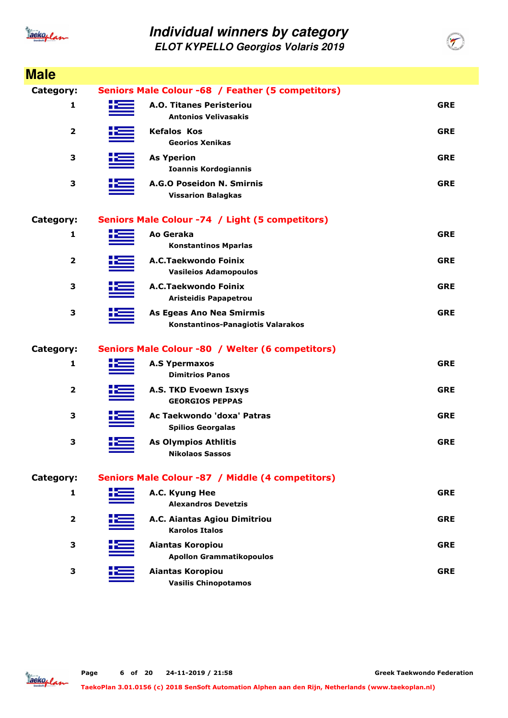

| <b>Male</b>             |                                                               |            |
|-------------------------|---------------------------------------------------------------|------------|
| <b>Category:</b>        | Seniors Male Colour -68 / Feather (5 competitors)             |            |
| 1                       | A.O. Titanes Peristeriou<br><b>Antonios Velivasakis</b>       | <b>GRE</b> |
| 2                       | <b>Kefalos Kos</b><br><b>Georios Xenikas</b>                  | <b>GRE</b> |
| 3                       | <b>As Yperion</b><br><b>Ioannis Kordogiannis</b>              | <b>GRE</b> |
| 3                       | A.G.O Poseidon N. Smirnis<br><b>Vissarion Balagkas</b>        | <b>GRE</b> |
| <b>Category:</b>        | Seniors Male Colour -74 / Light (5 competitors)               |            |
| 1                       | Ao Geraka<br><b>Konstantinos Mparlas</b>                      | <b>GRE</b> |
| 2                       | A.C.Taekwondo Foinix<br><b>Vasileios Adamopoulos</b>          | <b>GRE</b> |
| 3                       | A.C.Taekwondo Foinix<br><b>Aristeidis Papapetrou</b>          | <b>GRE</b> |
| 3                       | As Egeas Ano Nea Smirmis<br>Konstantinos-Panagiotis Valarakos | <b>GRE</b> |
| <b>Category:</b>        | Seniors Male Colour -80 / Welter (6 competitors)              |            |
| 1                       | <b>A.S Ypermaxos</b><br><b>Dimitrios Panos</b>                | <b>GRE</b> |
| 2                       | A.S. TKD Evoewn Isxys<br><b>GEORGIOS PEPPAS</b>               | <b>GRE</b> |
| 3                       | Ac Taekwondo 'doxa' Patras<br><b>Spilios Georgalas</b>        | <b>GRE</b> |
| 3                       | <b>As Olympios Athlitis</b><br><b>Nikolaos Sassos</b>         | <b>GRE</b> |
| Category:               | Seniors Male Colour -87 / Middle (4 competitors)              |            |
| 1                       | A.C. Kyung Hee<br><b>Alexandros Devetzis</b>                  | <b>GRE</b> |
| $\overline{\mathbf{2}}$ | A.C. Aiantas Agiou Dimitriou<br><b>Karolos Italos</b>         | <b>GRE</b> |
| 3                       | Aiantas Koropiou<br><b>Apollon Grammatikopoulos</b>           | <b>GRE</b> |
| 3                       | Aiantas Koropiou<br><b>Vasilis Chinopotamos</b>               | <b>GRE</b> |

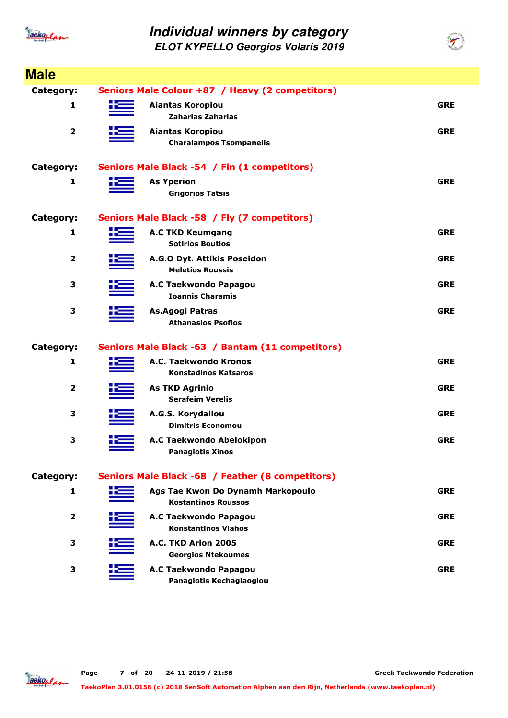

| <b>Male</b>             |      |                                                           |            |
|-------------------------|------|-----------------------------------------------------------|------------|
| Category:               |      | Seniors Male Colour +87 / Heavy (2 competitors)           |            |
| 1                       |      | <b>Aiantas Koropiou</b>                                   | <b>GRE</b> |
|                         |      | Zaharias Zaharias                                         |            |
| $\overline{\mathbf{2}}$ | کا ہ | <b>Aiantas Koropiou</b><br><b>Charalampos Tsompanelis</b> | <b>GRE</b> |
|                         |      |                                                           |            |
| Category:               |      | Seniors Male Black -54 / Fin (1 competitors)              |            |
| 1                       | Ж    | <b>As Yperion</b>                                         | <b>GRE</b> |
|                         |      | <b>Grigorios Tatsis</b>                                   |            |
| Category:               |      | Seniors Male Black -58 / Fly (7 competitors)              |            |
| 1                       |      | <b>A.C TKD Keumgang</b>                                   | <b>GRE</b> |
|                         |      | <b>Sotirios Boutios</b>                                   |            |
| 2                       |      | A.G.O Dyt. Attikis Poseidon<br><b>Meletios Roussis</b>    | <b>GRE</b> |
| 3                       |      | A.C Taekwondo Papagou                                     | <b>GRE</b> |
|                         |      | <b>Ioannis Charamis</b>                                   |            |
| 3                       |      | As.Agogi Patras                                           | <b>GRE</b> |
|                         |      | <b>Athanasios Psofios</b>                                 |            |
| Category:               |      | Seniors Male Black -63 / Bantam (11 competitors)          |            |
| 1                       |      | A.C. Taekwondo Kronos                                     | <b>GRE</b> |
|                         |      | <b>Konstadinos Katsaros</b>                               |            |
| 2                       |      | <b>As TKD Agrinio</b>                                     | <b>GRE</b> |
|                         |      | <b>Serafeim Verelis</b>                                   |            |
| 3                       |      | A.G.S. Korydallou                                         | <b>GRE</b> |
|                         |      | <b>Dimitris Economou</b>                                  |            |
| 3                       | ╋═   | A.C Taekwondo Abelokipon<br><b>Panagiotis Xinos</b>       | <b>GRE</b> |
|                         |      |                                                           |            |
| Category:               |      | Seniors Male Black -68 / Feather (8 competitors)          |            |
| 1                       |      | Ags Tae Kwon Do Dynamh Markopoulo                         | <b>GRE</b> |
|                         |      | <b>Kostantinos Roussos</b>                                |            |
| $\overline{\mathbf{2}}$ |      | A.C Taekwondo Papagou<br><b>Konstantinos Vlahos</b>       | <b>GRE</b> |
| 3                       |      | A.C. TKD Arion 2005                                       | <b>GRE</b> |
|                         |      | <b>Georgios Ntekoumes</b>                                 |            |
| 3                       |      | A.C Taekwondo Papagou                                     | <b>GRE</b> |
|                         |      | Panagiotis Kechagiaoglou                                  |            |

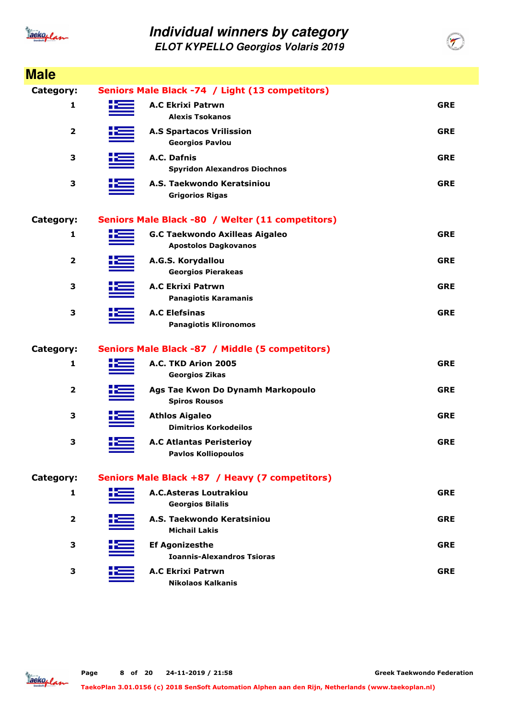

| <b>Male</b>             |                                                                      |            |
|-------------------------|----------------------------------------------------------------------|------------|
| Category:               | Seniors Male Black -74 / Light (13 competitors)                      |            |
| 1                       | <b>A.C Ekrixi Patrwn</b><br><b>Alexis Tsokanos</b>                   | <b>GRE</b> |
| $\overline{\mathbf{2}}$ | <b>A.S Spartacos Vrilission</b><br><b>Georgios Pavlou</b>            | <b>GRE</b> |
| 3                       | A.C. Dafnis<br><b>Spyridon Alexandros Diochnos</b>                   | <b>GRE</b> |
| 3                       | A.S. Taekwondo Keratsiniou<br><b>Grigorios Rigas</b>                 | <b>GRE</b> |
| Category:               | Seniors Male Black -80 / Welter (11 competitors)                     |            |
| 1                       | <b>G.C Taekwondo Axilleas Aigaleo</b><br><b>Apostolos Dagkovanos</b> | <b>GRE</b> |
| $\mathbf{2}$            | A.G.S. Korydallou<br><b>Georgios Pierakeas</b>                       | <b>GRE</b> |
| 3                       | <b>A.C Ekrixi Patrwn</b><br><b>Panagiotis Karamanis</b>              | <b>GRE</b> |
| 3                       | <b>A.C Elefsinas</b><br><b>Panagiotis Klironomos</b>                 | <b>GRE</b> |
| Category:               | Seniors Male Black -87 / Middle (5 competitors)                      |            |
| 1                       | A.C. TKD Arion 2005<br><b>Georgios Zikas</b>                         | <b>GRE</b> |
| 2                       | Ags Tae Kwon Do Dynamh Markopoulo<br><b>Spiros Rousos</b>            | <b>GRE</b> |
| З                       | <b>Athlos Aigaleo</b><br><b>Dimitrios Korkodeilos</b>                | <b>GRE</b> |
| 3                       | <b>A.C Atlantas Peristerioy</b><br><b>Pavlos Kolliopoulos</b>        | <b>GRE</b> |
| Category:               | Seniors Male Black +87 / Heavy (7 competitors)                       |            |
| 1                       | <b>A.C.Asteras Loutrakiou</b><br><b>Georgios Bilalis</b>             | <b>GRE</b> |
| $\overline{2}$          | A.S. Taekwondo Keratsiniou<br><b>Michail Lakis</b>                   | <b>GRE</b> |
| З                       | <b>Ef Agonizesthe</b><br><b>Ioannis-Alexandros Tsioras</b>           | <b>GRE</b> |
| 3                       | <b>A.C Ekrixi Patrwn</b><br><b>Nikolaos Kalkanis</b>                 | <b>GRE</b> |

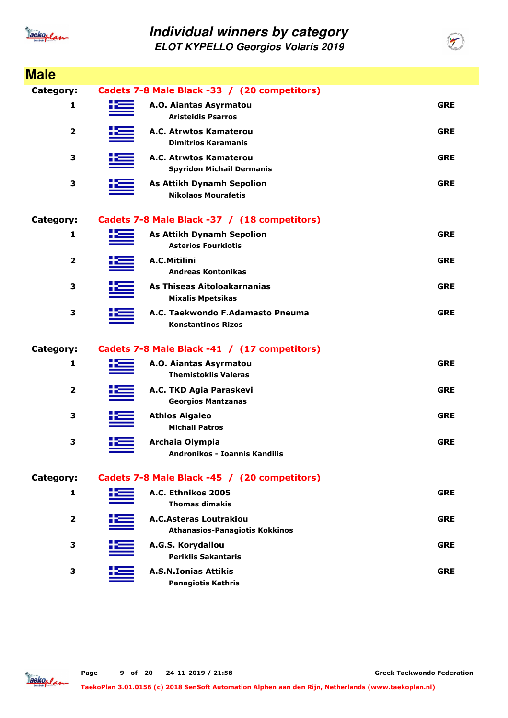

| <b>Male</b>             |                                                                 |            |
|-------------------------|-----------------------------------------------------------------|------------|
| <b>Category:</b>        | Cadets 7-8 Male Black -33 / (20 competitors)                    |            |
| 1                       | A.O. Aiantas Asyrmatou<br><b>Aristeidis Psarros</b>             | <b>GRE</b> |
| $\overline{\mathbf{2}}$ | A.C. Atrwtos Kamaterou<br><b>Dimitrios Karamanis</b>            | <b>GRE</b> |
| 3                       | A.C. Atrwtos Kamaterou<br><b>Spyridon Michail Dermanis</b>      | <b>GRE</b> |
| 3                       | <b>As Attikh Dynamh Sepolion</b><br><b>Nikolaos Mourafetis</b>  | <b>GRE</b> |
| Category:               | Cadets 7-8 Male Black -37 / (18 competitors)                    |            |
| 1                       | <b>As Attikh Dynamh Sepolion</b><br><b>Asterios Fourkiotis</b>  | <b>GRE</b> |
| $\overline{2}$          | A.C.Mitilini<br><b>Andreas Kontonikas</b>                       | <b>GRE</b> |
| 3                       | As Thiseas Aitoloakarnanias<br><b>Mixalis Mpetsikas</b>         | <b>GRE</b> |
| 3                       | A.C. Taekwondo F.Adamasto Pneuma<br><b>Konstantinos Rizos</b>   | <b>GRE</b> |
| <b>Category:</b>        | Cadets 7-8 Male Black -41 / (17 competitors)                    |            |
| 1                       | A.O. Aiantas Asyrmatou<br><b>Themistoklis Valeras</b>           | <b>GRE</b> |
| 2                       | A.C. TKD Agia Paraskevi<br><b>Georgios Mantzanas</b>            | <b>GRE</b> |
| 3                       | <b>Athlos Aigaleo</b><br><b>Michail Patros</b>                  | <b>GRE</b> |
| 3                       | Archaia Olympia<br>Andronikos - Ioannis Kandilis                | <b>GRE</b> |
| Category:               | Cadets 7-8 Male Black -45 / (20 competitors)                    |            |
| 1                       | A.C. Ethnikos 2005<br><b>Thomas dimakis</b>                     | <b>GRE</b> |
| $\overline{2}$          | A.C.Asteras Loutrakiou<br><b>Athanasios-Panagiotis Kokkinos</b> | <b>GRE</b> |
| 3                       | A.G.S. Korydallou<br><b>Periklis Sakantaris</b>                 | <b>GRE</b> |
| 3                       | <b>A.S.N.Ionias Attikis</b><br><b>Panagiotis Kathris</b>        | <b>GRE</b> |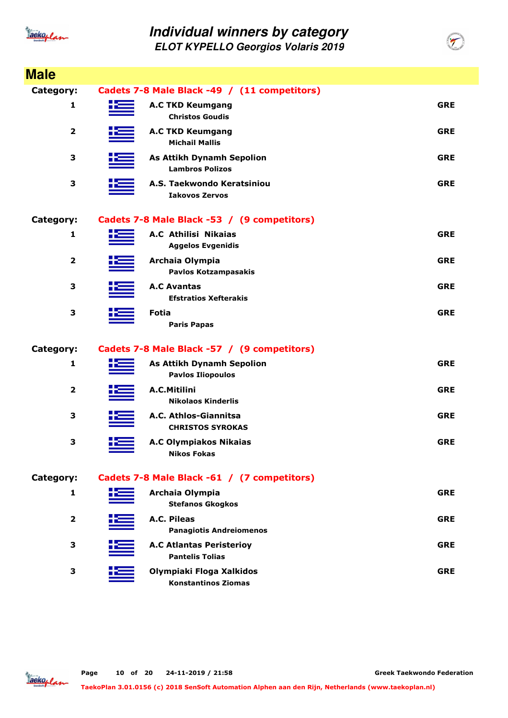

| <b>Male</b>             |                                                              |            |
|-------------------------|--------------------------------------------------------------|------------|
| <b>Category:</b>        | Cadets 7-8 Male Black -49 / (11 competitors)                 |            |
| 1                       | <b>A.C TKD Keumgang</b><br><b>Christos Goudis</b>            | <b>GRE</b> |
| 2                       | <b>A.C TKD Keumgang</b><br><b>Michail Mallis</b>             | <b>GRE</b> |
| 3                       | <b>As Attikh Dynamh Sepolion</b><br><b>Lambros Polizos</b>   | <b>GRE</b> |
| 3                       | A.S. Taekwondo Keratsiniou<br><b>Iakovos Zervos</b>          | <b>GRE</b> |
| Category:               | Cadets 7-8 Male Black -53 / (9 competitors)                  |            |
| 1                       | A.C Athilisi Nikaias<br><b>Aggelos Evgenidis</b>             | <b>GRE</b> |
| $\overline{\mathbf{2}}$ | Archaia Olympia<br><b>Pavlos Kotzampasakis</b>               | <b>GRE</b> |
| 3                       | <b>A.C Avantas</b><br><b>Efstratios Xefterakis</b>           | <b>GRE</b> |
| 3                       | <b>Fotia</b><br><b>Paris Papas</b>                           | <b>GRE</b> |
| Category:               | Cadets 7-8 Male Black -57 / (9 competitors)                  |            |
| 1                       | <b>As Attikh Dynamh Sepolion</b><br><b>Pavlos Iliopoulos</b> | <b>GRE</b> |
| $\mathbf{2}$            | A.C.Mitilini<br><b>Nikolaos Kinderlis</b>                    | <b>GRE</b> |
| 3                       | A.C. Athlos-Giannitsa<br><b>CHRISTOS SYROKAS</b>             | <b>GRE</b> |
| 3                       | <b>A.C Olympiakos Nikaias</b><br><b>Nikos Fokas</b>          | <b>GRE</b> |
| Category:               | Cadets 7-8 Male Black -61 / (7 competitors)                  |            |
| 1                       | Archaia Olympia<br><b>Stefanos Gkogkos</b>                   | <b>GRE</b> |
| 2                       | A.C. Pileas<br><b>Panagiotis Andreiomenos</b>                | <b>GRE</b> |
| 3                       | <b>A.C Atlantas Peristerioy</b><br><b>Pantelis Tolias</b>    | <b>GRE</b> |
| 3                       | Olympiaki Floga Xalkidos<br><b>Konstantinos Ziomas</b>       | <b>GRE</b> |

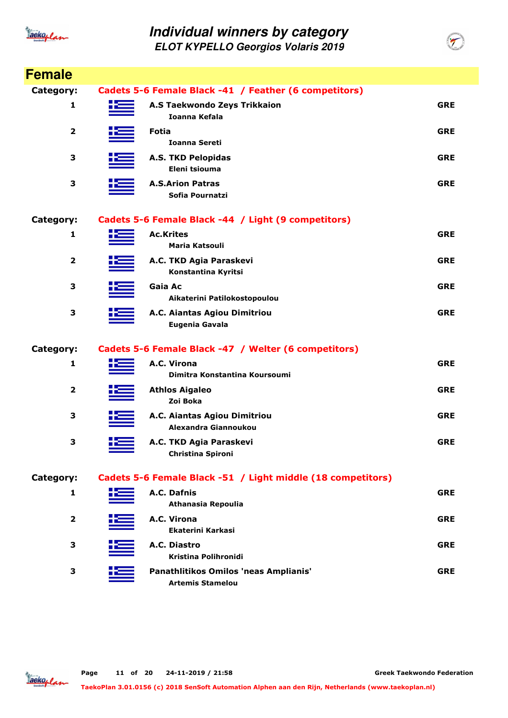

**ELOT KYPELLO Georgios Volaris 2019**

| <b>Female</b>           |                                                                  |            |
|-------------------------|------------------------------------------------------------------|------------|
| Category:               | Cadets 5-6 Female Black -41 / Feather (6 competitors)            |            |
| 1                       | A.S Taekwondo Zeys Trikkaion<br>Ioanna Kefala                    | <b>GRE</b> |
| 2                       | <b>Fotia</b><br><b>Ioanna Sereti</b>                             | <b>GRE</b> |
| 3                       | <b>A.S. TKD Pelopidas</b><br>Eleni tsiouma                       | <b>GRE</b> |
| 3                       | <b>A.S.Arion Patras</b><br>Sofia Pournatzi                       | <b>GRE</b> |
| Category:               | Cadets 5-6 Female Black -44 / Light (9 competitors)              |            |
| 1                       | <b>Ac.Krites</b><br><b>Maria Katsouli</b>                        | <b>GRE</b> |
| 2                       | A.C. TKD Agia Paraskevi<br>Konstantina Kyritsi                   | <b>GRE</b> |
| 3                       | Gaia Ac<br>Aikaterini Patilokostopoulou                          | <b>GRE</b> |
| 3                       | A.C. Aiantas Agiou Dimitriou<br>Eugenia Gavala                   | <b>GRE</b> |
| Category:               | Cadets 5-6 Female Black -47 / Welter (6 competitors)             |            |
| 1                       | A.C. Virona<br>Dimitra Konstantina Koursoumi                     | <b>GRE</b> |
| $\overline{2}$          | <b>Athlos Aigaleo</b><br>Zoi Boka                                | <b>GRE</b> |
| 3                       | A.C. Aiantas Agiou Dimitriou<br>Alexandra Giannoukou             | <b>GRE</b> |
| 3                       | A.C. TKD Agia Paraskevi<br>Christina Spironi                     | <b>GRE</b> |
| Category:               | Cadets 5-6 Female Black -51 / Light middle (18 competitors)      |            |
| 1                       | A.C. Dafnis<br><b>Athanasia Repoulia</b>                         | <b>GRE</b> |
| $\overline{\mathbf{2}}$ | A.C. Virona<br>Ekaterini Karkasi                                 | <b>GRE</b> |
| 3                       | A.C. Diastro<br><b>Kristina Polihronidi</b>                      | <b>GRE</b> |
| 3                       | Panathlitikos Omilos 'neas Amplianis'<br><b>Artemis Stamelou</b> | <b>GRE</b> |

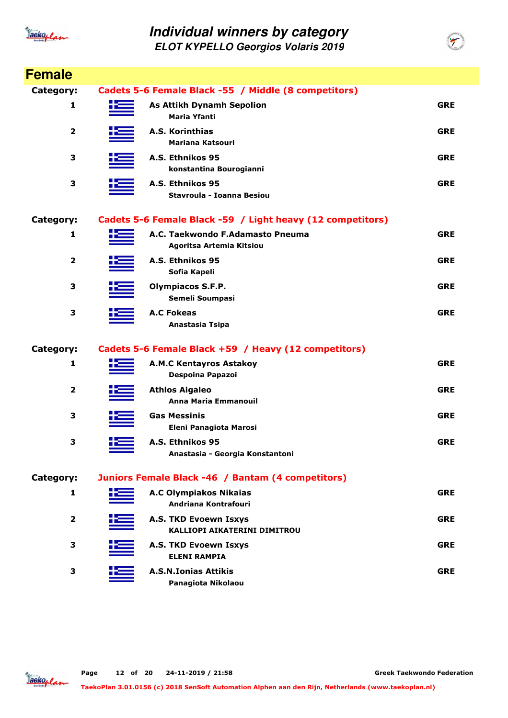

| <b>Female</b>  |    |                                                              |            |
|----------------|----|--------------------------------------------------------------|------------|
| Category:      |    | Cadets 5-6 Female Black -55 / Middle (8 competitors)         |            |
| 1              | æ  | <b>As Attikh Dynamh Sepolion</b><br><b>Maria Yfanti</b>      | <b>GRE</b> |
| $\overline{2}$ |    | A.S. Korinthias<br>Mariana Katsouri                          | <b>GRE</b> |
| 3              |    | A.S. Ethnikos 95<br>konstantina Bourogianni                  | <b>GRE</b> |
| 3              |    | A.S. Ethnikos 95<br>Stavroula - Ioanna Besiou                | <b>GRE</b> |
| Category:      |    | Cadets 5-6 Female Black -59 / Light heavy (12 competitors)   |            |
| 1              |    | A.C. Taekwondo F.Adamasto Pneuma<br>Agoritsa Artemia Kitsiou | <b>GRE</b> |
| 2              |    | A.S. Ethnikos 95<br>Sofia Kapeli                             | <b>GRE</b> |
| 3              |    | <b>Olympiacos S.F.P.</b><br>Semeli Soumpasi                  | <b>GRE</b> |
| 3              |    | <b>A.C Fokeas</b><br>Anastasia Tsipa                         | <b>GRE</b> |
| Category:      |    | Cadets 5-6 Female Black +59 / Heavy (12 competitors)         |            |
| 1              |    | <b>A.M.C Kentayros Astakoy</b><br>Despoina Papazoi           | <b>GRE</b> |
| $\overline{2}$ |    | <b>Athlos Aigaleo</b><br>Anna Maria Emmanouil                | <b>GRE</b> |
| 3              |    | <b>Gas Messinis</b><br>Eleni Panagiota Marosi                | <b>GRE</b> |
| 3              | ╋═ | A.S. Ethnikos 95<br>Anastasia - Georgia Konstantoni          | <b>GRE</b> |
| Category:      |    | Juniors Female Black -46 / Bantam (4 competitors)            |            |
| 1              |    | <b>A.C Olympiakos Nikaias</b><br>Andriana Kontrafouri        | <b>GRE</b> |
| 2              |    | A.S. TKD Evoewn Isxys<br><b>KALLIOPI AIKATERINI DIMITROU</b> | <b>GRE</b> |
| 3              |    | A.S. TKD Evoewn Isxys<br><b>ELENI RAMPIA</b>                 | <b>GRE</b> |
| 3              |    | <b>A.S.N.Ionias Attikis</b><br>Panagiota Nikolaou            | <b>GRE</b> |

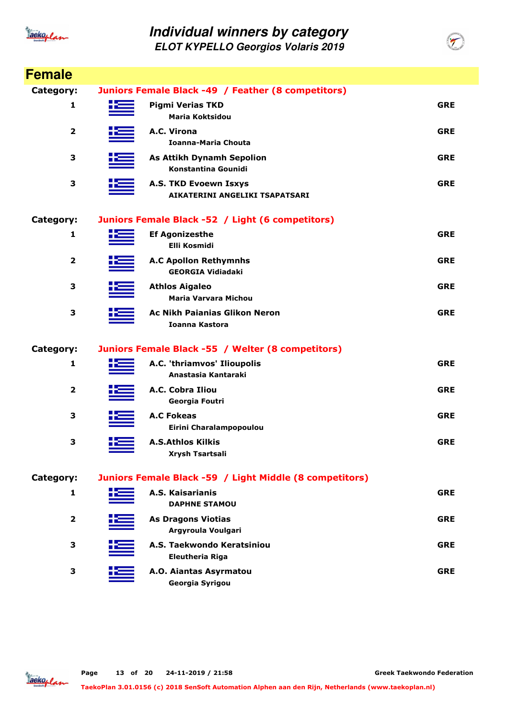

**ELOT KYPELLO Georgios Volaris 2019**

| <b>Female</b>  |                                                          |            |
|----------------|----------------------------------------------------------|------------|
| Category:      | Juniors Female Black -49 / Feather (8 competitors)       |            |
| 1              | <b>Pigmi Verias TKD</b><br><b>Maria Koktsidou</b>        | <b>GRE</b> |
| 2              | A.C. Virona<br><b>Ioanna-Maria Chouta</b>                | <b>GRE</b> |
| 3              | <b>As Attikh Dynamh Sepolion</b><br>Konstantina Gounidi  | <b>GRE</b> |
| 3              | A.S. TKD Evoewn Isxys<br>AIKATERINI ANGELIKI TSAPATSARI  | <b>GRE</b> |
| Category:      | Juniors Female Black -52 / Light (6 competitors)         |            |
| 1              | <b>Ef Agonizesthe</b><br><b>Elli Kosmidi</b>             | <b>GRE</b> |
| $\overline{2}$ | <b>A.C Apollon Rethymnhs</b><br><b>GEORGIA Vidiadaki</b> | <b>GRE</b> |
| 3              | <b>Athlos Aigaleo</b><br>Maria Varvara Michou            | <b>GRE</b> |
| 3              | <b>Ac Nikh Paianias Glikon Neron</b><br>Ioanna Kastora   | <b>GRE</b> |
| Category:      | Juniors Female Black -55 / Welter (8 competitors)        |            |
| 1              | A.C. 'thriamvos' Ilioupolis<br>Anastasia Kantaraki       | <b>GRE</b> |
| 2              | A.C. Cobra Iliou<br>Georgia Foutri                       | <b>GRE</b> |
| 3              | <b>A.C Fokeas</b><br>Eirini Charalampopoulou             | <b>GRE</b> |
| 3              | <b>A.S.Athlos Kilkis</b><br>Xrysh Tsartsali              | <b>GRE</b> |
| Category:      | Juniors Female Black -59 / Light Middle (8 competitors)  |            |
| 1              | A.S. Kaisarianis<br><b>DAPHNE STAMOU</b>                 | <b>GRE</b> |
| $\overline{2}$ | <b>As Dragons Viotias</b><br>Argyroula Voulgari          | <b>GRE</b> |
| 3              | A.S. Taekwondo Keratsiniou<br><b>Eleutheria Riga</b>     | <b>GRE</b> |
| 3              | A.O. Aiantas Asyrmatou<br>Georgia Syrigou                | <b>GRE</b> |

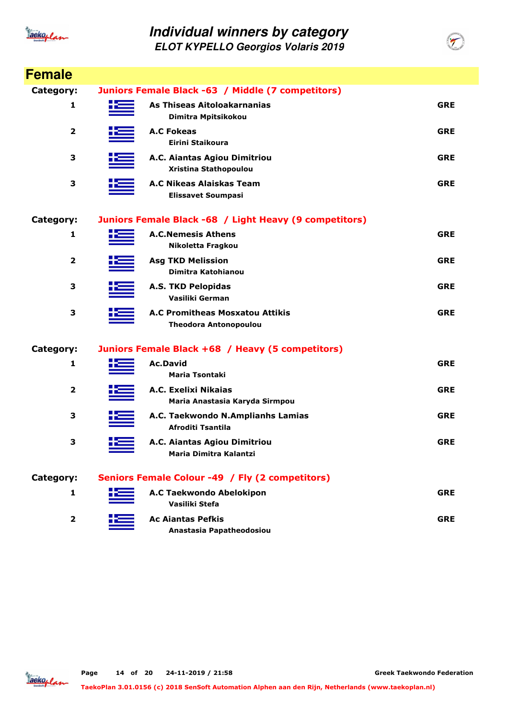

| <b>Female</b>  |                                                                        |            |
|----------------|------------------------------------------------------------------------|------------|
| Category:      | Juniors Female Black -63 / Middle (7 competitors)                      |            |
| 1              | As Thiseas Aitoloakarnanias<br>Dimitra Mpitsikokou                     | <b>GRE</b> |
| 2              | <b>A.C Fokeas</b><br>Eirini Staikoura                                  | <b>GRE</b> |
| 3              | A.C. Aiantas Agiou Dimitriou<br>Xristina Stathopoulou                  | <b>GRE</b> |
| 3              | A.C Nikeas Alaiskas Team<br><b>Elissavet Soumpasi</b>                  | <b>GRE</b> |
| Category:      | Juniors Female Black -68 / Light Heavy (9 competitors)                 |            |
| 1              | <b>A.C.Nemesis Athens</b><br>Nikoletta Fragkou                         | <b>GRE</b> |
| $\overline{2}$ | <b>Asg TKD Melission</b><br>Dimitra Katohianou                         | <b>GRE</b> |
| 3              | <b>A.S. TKD Pelopidas</b><br>Vasiliki German                           | <b>GRE</b> |
| 3              | <b>A.C Promitheas Mosxatou Attikis</b><br><b>Theodora Antonopoulou</b> | <b>GRE</b> |
| Category:      | Juniors Female Black +68 / Heavy (5 competitors)                       |            |
| 1              | <b>Ac.David</b><br><b>Maria Tsontaki</b>                               | <b>GRE</b> |
| 2              | A.C. Exelixi Nikaias<br>Maria Anastasia Karyda Sirmpou                 | <b>GRE</b> |
| 3              | A.C. Taekwondo N.Amplianhs Lamias<br>Afroditi Tsantila                 | <b>GRE</b> |
| 3              | A.C. Aiantas Agiou Dimitriou<br>Maria Dimitra Kalantzi                 | <b>GRE</b> |
| Category:      | Seniors Female Colour -49 / Fly (2 competitors)                        |            |
| 1              | A.C Taekwondo Abelokipon<br>Vasiliki Stefa                             | <b>GRE</b> |
| $\overline{2}$ | <b>Ac Ajantas Pefkis</b><br>Anastasia Papatheodosiou                   | <b>GRE</b> |

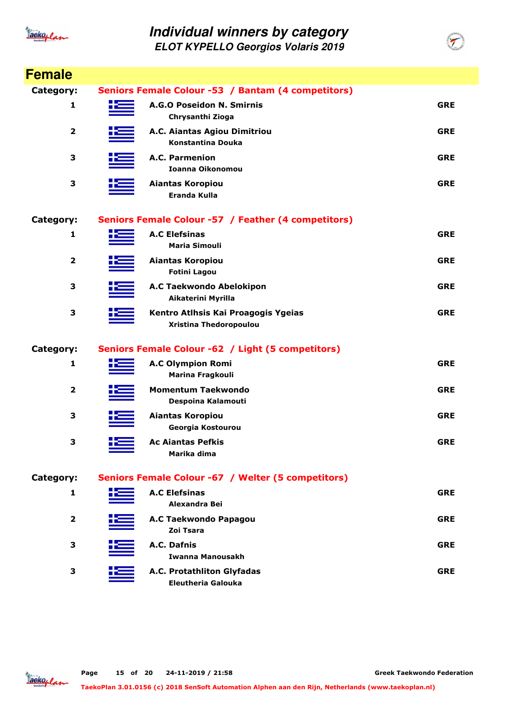

| <b>Female</b>    |                                                               |            |
|------------------|---------------------------------------------------------------|------------|
| <b>Category:</b> | Seniors Female Colour -53 / Bantam (4 competitors)            |            |
| 1                | A.G.O Poseidon N. Smirnis<br>Chrysanthi Zioga                 | <b>GRE</b> |
| $\mathbf{2}$     | A.C. Aiantas Agiou Dimitriou<br><b>Konstantina Douka</b>      | <b>GRE</b> |
| 3                | <b>A.C. Parmenion</b><br><b>Ioanna Oikonomou</b>              | <b>GRE</b> |
| 3                | Aiantas Koropiou<br><b>Eranda Kulla</b>                       | <b>GRE</b> |
| Category:        | Seniors Female Colour -57 / Feather (4 competitors)           |            |
| 1                | <b>A.C Elefsinas</b><br><b>Maria Simouli</b>                  | <b>GRE</b> |
| 2                | <b>Aiantas Koropiou</b><br><b>Fotini Lagou</b>                | <b>GRE</b> |
| 3                | A.C Taekwondo Abelokipon<br>Aikaterini Myrilla                | <b>GRE</b> |
| 3                | Kentro Atlhsis Kai Proagogis Ygeias<br>Xristina Thedoropoulou | <b>GRE</b> |
| Category:        | Seniors Female Colour -62 / Light (5 competitors)             |            |
| 1                | <b>A.C Olympion Romi</b><br>Marina Fragkouli                  | <b>GRE</b> |
| $\mathbf{2}$     | <b>Momentum Taekwondo</b><br>Despoina Kalamouti               | <b>GRE</b> |
| 3                | <b>Aiantas Koropiou</b><br>Georgia Kostourou                  | <b>GRE</b> |
| 3                | <b>Ac Aiantas Pefkis</b><br>Marika dima                       | <b>GRE</b> |
| Category:        | Seniors Female Colour -67 / Welter (5 competitors)            |            |
| 1                | <b>A.C Elefsinas</b><br>Alexandra Bei                         | <b>GRE</b> |
| 2                | A.C Taekwondo Papagou<br>Zoi Tsara                            | <b>GRE</b> |
| З                | A.C. Dafnis<br>Iwanna Manousakh                               | <b>GRE</b> |
| 3                | A.C. Protathliton Glyfadas<br><b>Eleutheria Galouka</b>       | <b>GRE</b> |

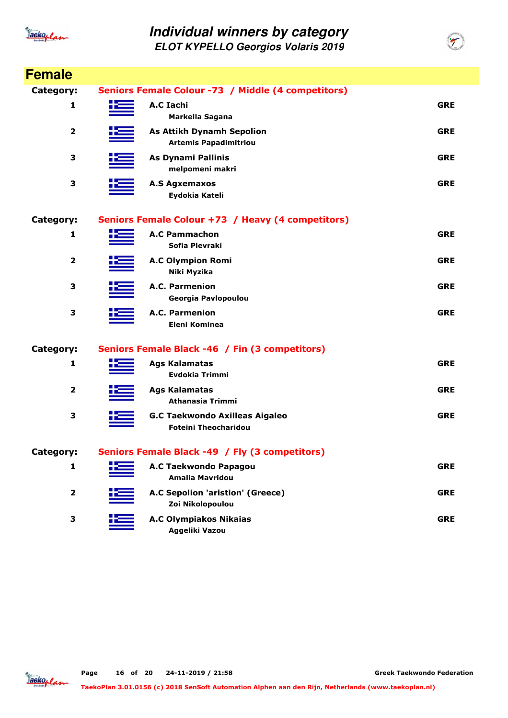

| <b>Female</b>           |                                                                      |            |
|-------------------------|----------------------------------------------------------------------|------------|
| Category:               | Seniors Female Colour -73 / Middle (4 competitors)                   |            |
| 1                       | <b>A.C Iachi</b><br>Markella Sagana                                  | <b>GRE</b> |
| $\overline{\mathbf{2}}$ | <b>As Attikh Dynamh Sepolion</b><br><b>Artemis Papadimitriou</b>     | <b>GRE</b> |
| 3                       | <b>As Dynami Pallinis</b><br>melpomeni makri                         | <b>GRE</b> |
| 3                       | <b>A.S Agxemaxos</b><br>Eydokia Kateli                               | <b>GRE</b> |
| Category:               | Seniors Female Colour +73 / Heavy (4 competitors)                    |            |
| 1                       | <b>A.C Pammachon</b><br>Sofia Plevraki                               | <b>GRE</b> |
| $\mathbf{2}$            | <b>A.C Olympion Romi</b><br>Niki Myzika                              | <b>GRE</b> |
| 3                       | A.C. Parmenion<br>Georgia Pavlopoulou                                | <b>GRE</b> |
| 3                       | <b>A.C. Parmenion</b><br><b>Eleni Kominea</b>                        | <b>GRE</b> |
| Category:               | Seniors Female Black -46 / Fin (3 competitors)                       |            |
| 1                       | <b>Ags Kalamatas</b><br><b>Evdokia Trimmi</b>                        | <b>GRE</b> |
| 2                       | <b>Ags Kalamatas</b><br><b>Athanasia Trimmi</b>                      | <b>GRE</b> |
| 3                       | <b>G.C Taekwondo Axilleas Aigaleo</b><br><b>Foteini Theocharidou</b> | <b>GRE</b> |
| Category:               | Seniors Female Black -49 / Fly (3 competitors)                       |            |
| 1                       | A.C Taekwondo Papagou<br><b>Amalia Mavridou</b>                      | <b>GRE</b> |
| $\overline{\mathbf{2}}$ | A.C Sepolion 'aristion' (Greece)<br>Zoi Nikolopoulou                 | <b>GRE</b> |
| 3                       | <b>A.C Olympiakos Nikaias</b><br>Aggeliki Vazou                      | <b>GRE</b> |

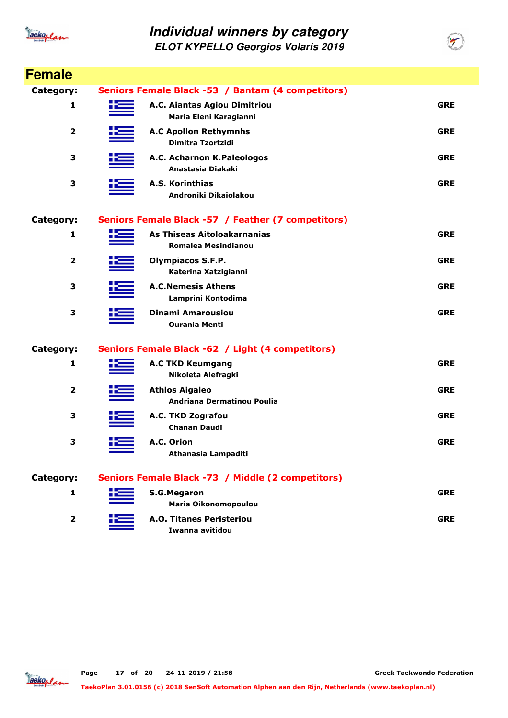

**ELOT KYPELLO Georgios Volaris 2019**

| <b>Female</b>           |    |                                                           |            |
|-------------------------|----|-----------------------------------------------------------|------------|
| Category:               |    | Seniors Female Black -53 / Bantam (4 competitors)         |            |
| 1                       | ۲Ξ | A.C. Aiantas Agiou Dimitriou<br>Maria Eleni Karagianni    | <b>GRE</b> |
| $\overline{2}$          |    | <b>A.C Apollon Rethymnhs</b><br>Dimitra Tzortzidi         | <b>GRE</b> |
| 3                       |    | A.C. Acharnon K.Paleologos<br>Anastasia Diakaki           | <b>GRE</b> |
| 3                       |    | A.S. Korinthias<br>Androniki Dikaiolakou                  | <b>GRE</b> |
| Category:               |    | Seniors Female Black -57 / Feather (7 competitors)        |            |
| 1                       |    | As Thiseas Aitoloakarnanias<br><b>Romalea Mesindianou</b> | <b>GRE</b> |
| 2                       |    | <b>Olympiacos S.F.P.</b><br>Katerina Xatzigianni          | <b>GRE</b> |
| 3                       |    | <b>A.C.Nemesis Athens</b><br>Lamprini Kontodima           | <b>GRE</b> |
| 3                       |    | Dinami Amarousiou<br><b>Ourania Menti</b>                 | <b>GRE</b> |
| Category:               |    | Seniors Female Black -62 / Light (4 competitors)          |            |
| 1                       |    | <b>A.C TKD Keumgang</b><br>Nikoleta Alefragki             | <b>GRE</b> |
| 2                       |    | <b>Athlos Aigaleo</b><br>Andriana Dermatinou Poulia       | <b>GRE</b> |
| З                       |    | A.C. TKD Zografou<br><b>Chanan Daudi</b>                  | <b>GRE</b> |
| 3                       |    | A.C. Orion<br>Athanasia Lampaditi                         | <b>GRE</b> |
| Category:               |    | Seniors Female Black -73 / Middle (2 competitors)         |            |
| 1                       |    | <b>S.G.Megaron</b><br>Maria Oikonomopoulou                | <b>GRE</b> |
| $\overline{\mathbf{2}}$ |    | <b>A.O. Titanes Peristeriou</b><br>Iwanna avitidou        | <b>GRE</b> |
|                         |    |                                                           |            |



**TaekoPlan 3.01.0156 (c) 2018 SenSoft Automation Alphen aan den Rijn, Netherlands (www.taekoplan.nl)**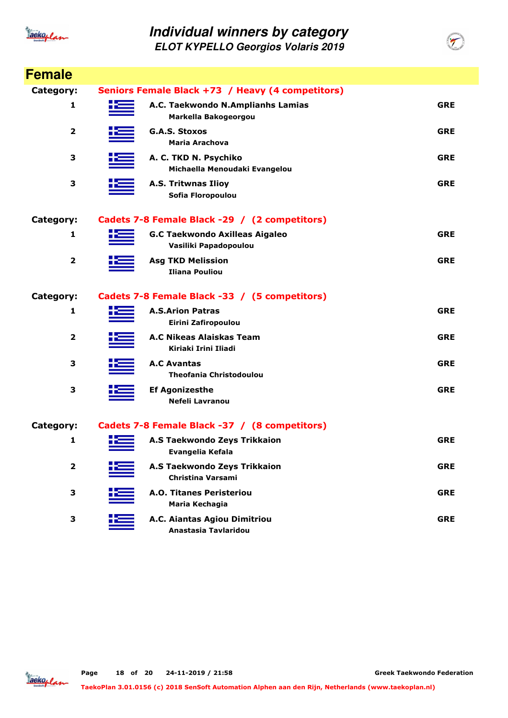

**ELOT KYPELLO Georgios Volaris 2019**

| <b>Female</b> |                                                                |            |
|---------------|----------------------------------------------------------------|------------|
| Category:     | Seniors Female Black +73 / Heavy (4 competitors)               |            |
| 1             | A.C. Taekwondo N.Amplianhs Lamias<br>Markella Bakogeorgou      | <b>GRE</b> |
| 2             | <b>G.A.S. Stoxos</b><br><b>Maria Arachova</b>                  | <b>GRE</b> |
| 3             | A. C. TKD N. Psychiko<br>Michaella Menoudaki Evangelou         | <b>GRE</b> |
| 3             | <b>A.S. Tritwnas Ilioy</b><br>Sofia Floropoulou                | <b>GRE</b> |
| Category:     | Cadets 7-8 Female Black -29 / (2 competitors)                  |            |
| 1             | <b>G.C Taekwondo Axilleas Aigaleo</b><br>Vasiliki Papadopoulou | <b>GRE</b> |
| $\mathbf{2}$  | <b>Asg TKD Melission</b><br><b>Iliana Pouliou</b>              | <b>GRE</b> |
| Category:     | Cadets 7-8 Female Black -33 / (5 competitors)                  |            |
| 1             | <b>A.S.Arion Patras</b><br>Eirini Zafiropoulou                 | <b>GRE</b> |
| $\mathbf{2}$  | A.C Nikeas Alaiskas Team<br>Kiriaki Irini Iliadi               | <b>GRE</b> |
| 3             | <b>A.C Avantas</b><br><b>Theofania Christodoulou</b>           | <b>GRE</b> |
| 3             | <b>Ef Agonizesthe</b><br>Nefeli Lavranou                       | <b>GRE</b> |
| Category:     | Cadets 7-8 Female Black -37 / (8 competitors)                  |            |
| 1             | <b>A.S Taekwondo Zeys Trikkaion</b><br>Evangelia Kefala        | <b>GRE</b> |
| 2             | <b>A.S Taekwondo Zeys Trikkaion</b><br>Christina Varsami       | <b>GRE</b> |
| 3             | <b>A.O. Titanes Peristeriou</b><br>Maria Kechagia              | <b>GRE</b> |
| З             | A.C. Aiantas Agiou Dimitriou<br>Anastasia Tavlaridou           | <b>GRE</b> |

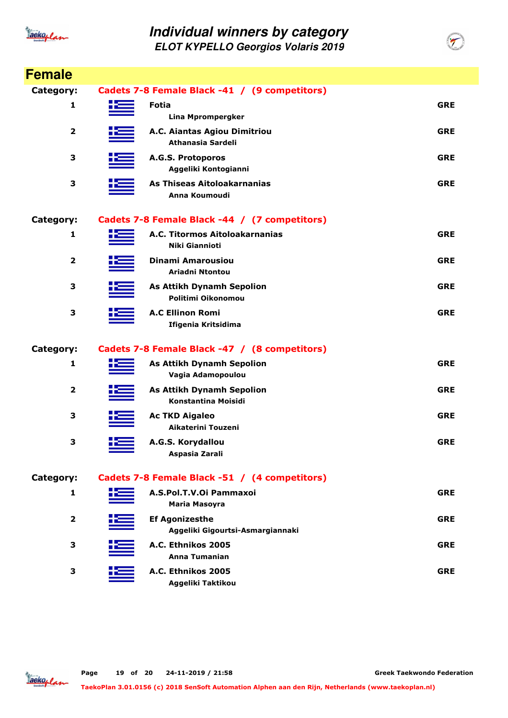

| <b>Female</b>    |                                                                |            |
|------------------|----------------------------------------------------------------|------------|
| <b>Category:</b> | Cadets 7-8 Female Black -41 / (9 competitors)                  |            |
| 1                | <b>Fotia</b><br><b>Lina Mprompergker</b>                       | <b>GRE</b> |
| $\mathbf{2}$     | A.C. Aiantas Agiou Dimitriou<br>Athanasia Sardeli              | <b>GRE</b> |
| 3                | A.G.S. Protoporos<br>Aggeliki Kontogianni                      | <b>GRE</b> |
| 3                | As Thiseas Aitoloakarnanias<br>Anna Koumoudi                   | <b>GRE</b> |
| Category:        | Cadets 7-8 Female Black -44 / (7 competitors)                  |            |
| 1                | A.C. Titormos Aitoloakarnanias<br><b>Niki Giannioti</b>        | <b>GRE</b> |
| $\overline{2}$   | <b>Dinami Amarousiou</b><br><b>Ariadni Ntontou</b>             | <b>GRE</b> |
| 3                | <b>As Attikh Dynamh Sepolion</b><br>Politimi Oikonomou         | <b>GRE</b> |
| 3                | <b>A.C Ellinon Romi</b><br>Ifigenia Kritsidima                 | <b>GRE</b> |
| Category:        | Cadets 7-8 Female Black -47 / (8 competitors)                  |            |
| 1                | <b>As Attikh Dynamh Sepolion</b><br>Vagia Adamopoulou          | <b>GRE</b> |
| $\mathbf{2}$     | <b>As Attikh Dynamh Sepolion</b><br><b>Konstantina Moisidi</b> | <b>GRE</b> |
| 3                | <b>Ac TKD Aigaleo</b><br>Aikaterini Touzeni                    | <b>GRE</b> |
| 3                | A.G.S. Korydallou<br>Aspasia Zarali                            | <b>GRE</b> |
| Category:        | Cadets 7-8 Female Black -51 / (4 competitors)                  |            |
| 1                | A.S.Pol.T.V.Oi Pammaxoi<br><b>Maria Masoyra</b>                | <b>GRE</b> |
| 2                | <b>Ef Agonizesthe</b><br>Aggeliki Gigourtsi-Asmargiannaki      | <b>GRE</b> |
| З                | A.C. Ethnikos 2005<br><b>Anna Tumanian</b>                     | <b>GRE</b> |
| 3                | A.C. Ethnikos 2005<br>Aggeliki Taktikou                        | <b>GRE</b> |